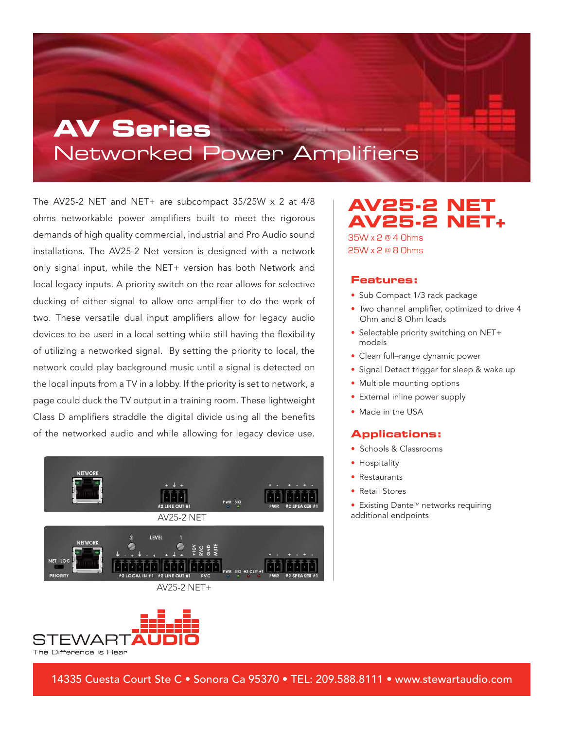## **AV Series** Networked Power Amplifiers

The AV25-2 NET and NET+ are subcompact 35/25W x 2 at 4/8 ohms networkable power amplifiers built to meet the rigorous demands of high quality commercial, industrial and Pro Audio sound installations. The AV25-2 Net version is designed with a network only signal input, while the NET+ version has both Network and local legacy inputs. A priority switch on the rear allows for selective ducking of either signal to allow one amplifier to do the work of two. These versatile dual input amplifiers allow for legacy audio devices to be used in a local setting while still having the flexibility of utilizing a networked signal. By setting the priority to local, the network could play background music until a signal is detected on the local inputs from a TV in a lobby. If the priority is set to network, a page could duck the TV output in a training room. These lightweight Class D amplifiers straddle the digital divide using all the benefits of the networked audio and while allowing for legacy device use.





**AV25-2 NET AV25-2 NET+**  35W x 2 @ 4 Ohms 25W x 2 @ 8 Ohms

#### **Features:**

- Sub Compact 1/3 rack package
- Two channel amplifier, optimized to drive 4 Ohm and 8 Ohm loads
- Selectable priority switching on NET+ models
- Clean full–range dynamic power
- Signal Detect trigger for sleep & wake up
- Multiple mounting options
- External inline power supply
- Made in the USA

#### **Applications:**

- Schools & Classrooms
- Hospitality
- Restaurants
- Retail Stores
- Existing Dante™ networks requiring additional endpoints

14335 Cuesta Court Ste C • Sonora Ca 95370 • TEL: 209.588.8111 • www.stewartaudio.com